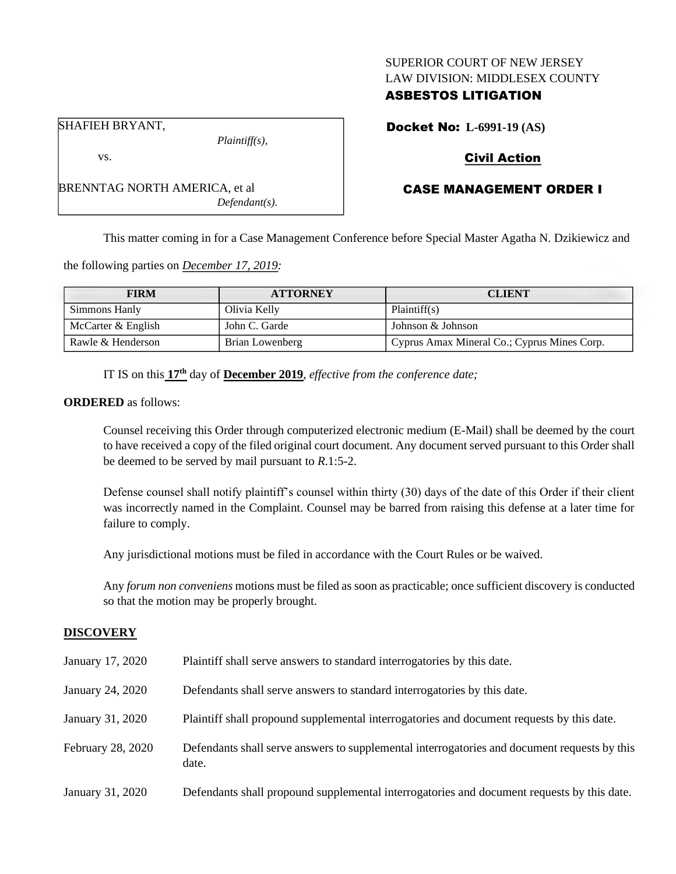### SUPERIOR COURT OF NEW JERSEY LAW DIVISION: MIDDLESEX COUNTY

## ASBESTOS LITIGATION

SHAFIEH BRYANT,

vs.

BRENNTAG NORTH AMERICA, et al

*Plaintiff(s),*

*Defendant(s).*

Docket No: **L-6991-19 (AS)**

# Civil Action

# CASE MANAGEMENT ORDER I

This matter coming in for a Case Management Conference before Special Master Agatha N. Dzikiewicz and

the following parties on *December 17, 2019:*

| <b>FIRM</b>        | <b>ATTORNEY</b> | <b>CLIENT</b>                               |
|--------------------|-----------------|---------------------------------------------|
| Simmons Hanly      | Olivia Kelly    | Plaintiff(s)                                |
| McCarter & English | John C. Garde   | Johnson & Johnson                           |
| Rawle & Henderson  | Brian Lowenberg | Cyprus Amax Mineral Co.; Cyprus Mines Corp. |

IT IS on this **17th** day of **December 2019**, *effective from the conference date;*

**ORDERED** as follows:

Counsel receiving this Order through computerized electronic medium (E-Mail) shall be deemed by the court to have received a copy of the filed original court document. Any document served pursuant to this Order shall be deemed to be served by mail pursuant to *R*.1:5-2.

Defense counsel shall notify plaintiff's counsel within thirty (30) days of the date of this Order if their client was incorrectly named in the Complaint. Counsel may be barred from raising this defense at a later time for failure to comply.

Any jurisdictional motions must be filed in accordance with the Court Rules or be waived.

Any *forum non conveniens* motions must be filed as soon as practicable; once sufficient discovery is conducted so that the motion may be properly brought.

#### **DISCOVERY**

| January 17, 2020  | Plaintiff shall serve answers to standard interrogatories by this date.                               |
|-------------------|-------------------------------------------------------------------------------------------------------|
| January 24, 2020  | Defendants shall serve answers to standard interrogatories by this date.                              |
| January 31, 2020  | Plaintiff shall propound supplemental interrogatories and document requests by this date.             |
| February 28, 2020 | Defendants shall serve answers to supplemental interrogatories and document requests by this<br>date. |
| January 31, 2020  | Defendants shall propound supplemental interrogatories and document requests by this date.            |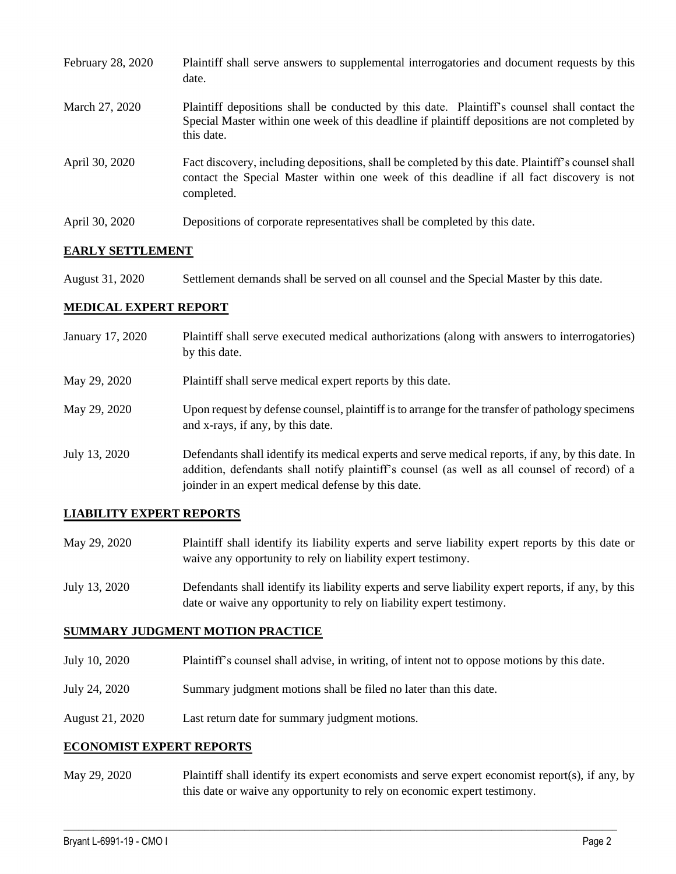| February 28, 2020 | Plaintiff shall serve answers to supplemental interrogatories and document requests by this<br>date.                                                                                                        |
|-------------------|-------------------------------------------------------------------------------------------------------------------------------------------------------------------------------------------------------------|
| March 27, 2020    | Plaintiff depositions shall be conducted by this date. Plaintiff's counsel shall contact the<br>Special Master within one week of this deadline if plaintiff depositions are not completed by<br>this date. |
| April 30, 2020    | Fact discovery, including depositions, shall be completed by this date. Plaintiff's counsel shall<br>contact the Special Master within one week of this deadline if all fact discovery is not<br>completed. |
| April 30, 2020    | Depositions of corporate representatives shall be completed by this date.                                                                                                                                   |

## **EARLY SETTLEMENT**

August 31, 2020 Settlement demands shall be served on all counsel and the Special Master by this date.

#### **MEDICAL EXPERT REPORT**

| January 17, 2020 | Plaintiff shall serve executed medical authorizations (along with answers to interrogatories)<br>by this date.                                                                                                                                           |
|------------------|----------------------------------------------------------------------------------------------------------------------------------------------------------------------------------------------------------------------------------------------------------|
| May 29, 2020     | Plaintiff shall serve medical expert reports by this date.                                                                                                                                                                                               |
| May 29, 2020     | Upon request by defense counsel, plaintiff is to arrange for the transfer of pathology specimens<br>and x-rays, if any, by this date.                                                                                                                    |
| July 13, 2020    | Defendants shall identify its medical experts and serve medical reports, if any, by this date. In<br>addition, defendants shall notify plaintiff's counsel (as well as all counsel of record) of a<br>joinder in an expert medical defense by this date. |

## **LIABILITY EXPERT REPORTS**

- May 29, 2020 Plaintiff shall identify its liability experts and serve liability expert reports by this date or waive any opportunity to rely on liability expert testimony.
- July 13, 2020 Defendants shall identify its liability experts and serve liability expert reports, if any, by this date or waive any opportunity to rely on liability expert testimony.

## **SUMMARY JUDGMENT MOTION PRACTICE**

- July 10, 2020 Plaintiff's counsel shall advise, in writing, of intent not to oppose motions by this date.
- July 24, 2020 Summary judgment motions shall be filed no later than this date.
- August 21, 2020 Last return date for summary judgment motions.

#### **ECONOMIST EXPERT REPORTS**

May 29, 2020 Plaintiff shall identify its expert economists and serve expert economist report(s), if any, by this date or waive any opportunity to rely on economic expert testimony.

 $\_$  , and the set of the set of the set of the set of the set of the set of the set of the set of the set of the set of the set of the set of the set of the set of the set of the set of the set of the set of the set of th